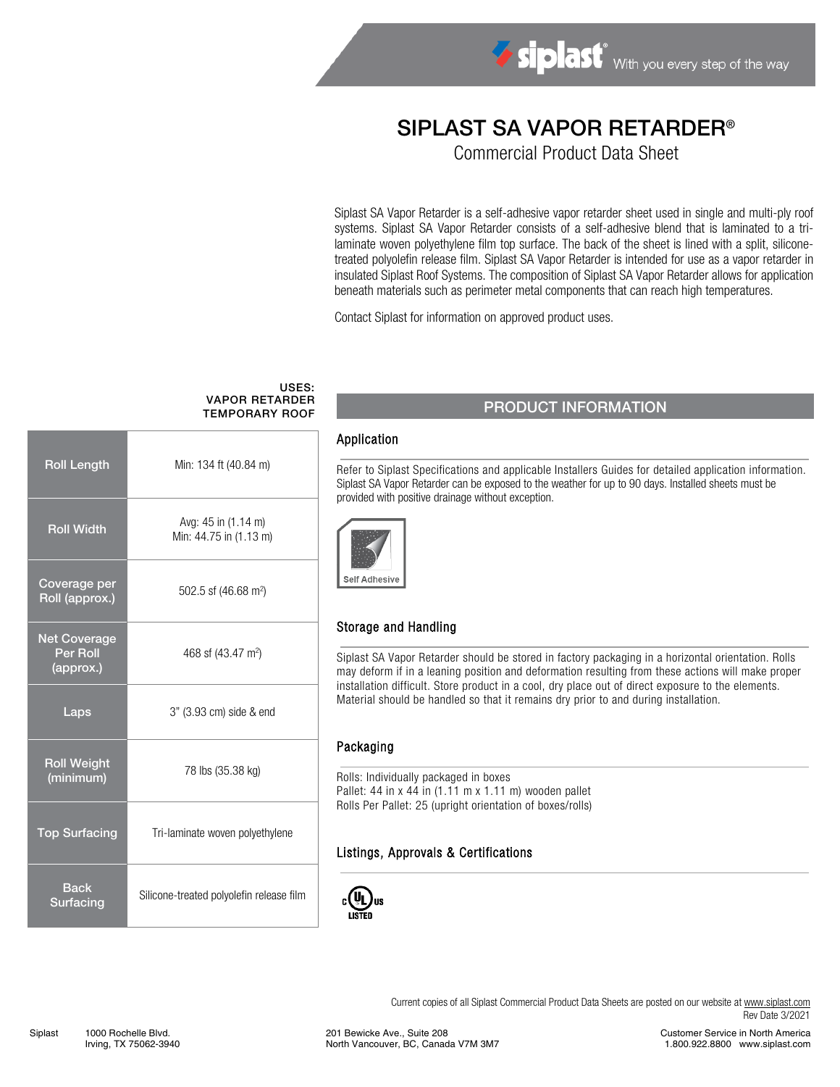# SIPLAST SA VAPOR RETARDER®

Commercial Product Data Sheet

Siplast SA Vapor Retarder is a self-adhesive vapor retarder sheet used in single and multi-ply roof systems. Siplast SA Vapor Retarder consists of a self-adhesive blend that is laminated to a trilaminate woven polyethylene film top surface. The back of the sheet is lined with a split, siliconetreated polyolefin release film. Siplast SA Vapor Retarder is intended for use as a vapor retarder in insulated Siplast Roof Systems. The composition of Siplast SA Vapor Retarder allows for application beneath materials such as perimeter metal components that can reach high temperatures.

Contact Siplast for information on approved product uses.

#### USES: VAPOR RETARDER TEMPORARY ROOF

| <b>Roll Length</b>                           | Min: 134 ft (40.84 m)                         |  |
|----------------------------------------------|-----------------------------------------------|--|
| <b>Roll Width</b>                            | Avg: 45 in (1.14 m)<br>Min: 44.75 in (1.13 m) |  |
| Coverage per<br>Roll (approx.)               | 502.5 sf (46.68 m <sup>2</sup> )              |  |
| <b>Net Coverage</b><br>Per Roll<br>(approx.) | 468 sf (43.47 m <sup>2</sup> )                |  |
| Laps                                         | 3" (3.93 cm) side & end                       |  |
| <b>Roll Weight</b><br>(minimum)              | 78 lbs (35.38 kg)                             |  |
| <b>Top Surfacing</b>                         | Tri-laminate woven polyethylene               |  |
| <b>Back</b><br>Surfacing                     | Silicone-treated polyolefin release film      |  |

# PRODUCT INFORMATION

#### Application

 Refer to Siplast Specifications and applicable Installers Guides for detailed application information. Siplast SA Vapor Retarder can be exposed to the weather for up to 90 days. Installed sheets must be provided with positive drainage without exception.



# Storage and Handling

Siplast SA Vapor Retarder should be stored in factory packaging in a horizontal orientation. Rolls may deform if in a leaning position and deformation resulting from these actions will make proper installation difficult. Store product in a cool, dry place out of direct exposure to the elements. Material should be handled so that it remains dry prior to and during installation.

#### Packaging

 Rolls: Individually packaged in boxes Pallet: 44 in x 44 in (1.11 m x 1.11 m) wooden pallet Rolls Per Pallet: 25 (upright orientation of boxes/rolls)

#### Listings, Approvals & Certifications



Current copies of all Siplast Commercial Product Data Sheets are posted on our website a[t www.siplast.com](https://www.siplast.com/) Rev Date 3/2021